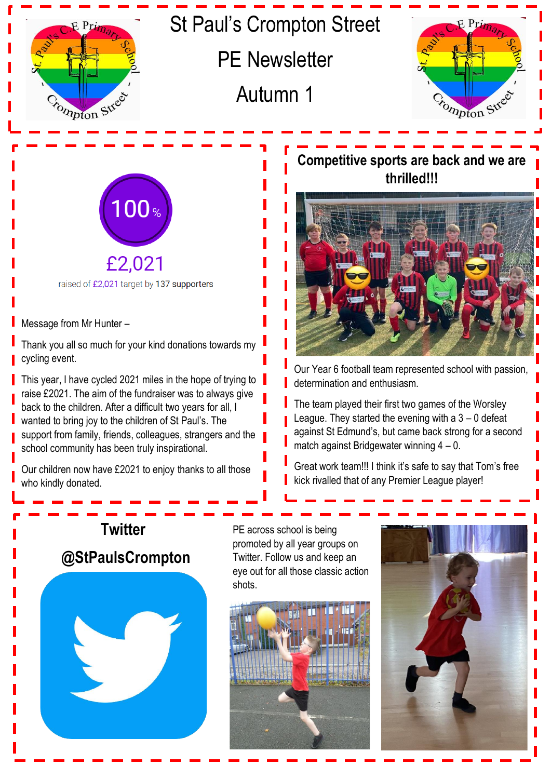

## St Paul's Crompton Street

PE Newsletter

Autumn 1





raised of £2,021 target by 137 supporters

Message from Mr Hunter –

Γ

Thank you all so much for your kind donations towards my cycling event.

This year, I have cycled 2021 miles in the hope of trying to raise £2021. The aim of the fundraiser was to always give back to the children. After a difficult two years for all, I wanted to bring joy to the children of St Paul's. The support from family, friends, colleagues, strangers and the school community has been truly inspirational.

Our children now have £2021 to enjoy thanks to all those who kindly donated.

## **Competitive sports are back and we are thrilled!!!**



Our Year 6 football team represented school with passion, determination and enthusiasm.

The team played their first two games of the Worsley League. They started the evening with  $a$  3 – 0 defeat against St Edmund's, but came back strong for a second match against Bridgewater winning 4 – 0.

Great work team!!! I think it's safe to say that Tom's free kick rivalled that of any Premier League player!



PE across school is being promoted by all year groups on Twitter. Follow us and keep an eye out for all those classic action shots.